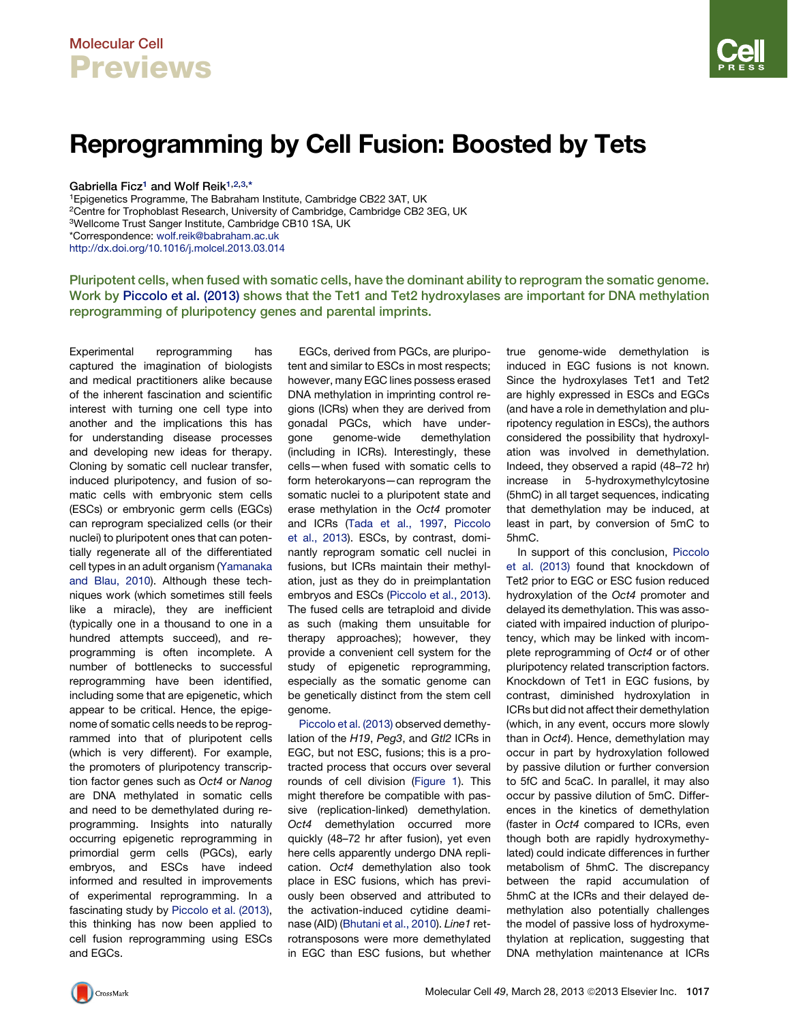## Molecular Cell **Previews**



# Reprogramming by Cell Fusion: Boosted by Tets

Gabriella Ficz<sup>1</sup> and Wolf Reik<sup>1,2,3,\*</sup>

1Epigenetics Programme, The Babraham Institute, Cambridge CB22 3AT, UK 2Centre for Trophoblast Research, University of Cambridge, Cambridge CB2 3EG, UK 3Wellcome Trust Sanger Institute, Cambridge CB10 1SA, UK \*Correspondence: [wolf.reik@babraham.ac.uk](mailto:wolf.reik@babraham.ac.uk) <http://dx.doi.org/10.1016/j.molcel.2013.03.014>

Pluripotent cells, when fused with somatic cells, have the dominant ability to reprogram the somatic genome. Work by [Piccolo et al. \(2013\)](#page-1-0) shows that the Tet1 and Tet2 hydroxylases are important for DNA methylation reprogramming of pluripotency genes and parental imprints.

Experimental reprogramming has captured the imagination of biologists and medical practitioners alike because of the inherent fascination and scientific interest with turning one cell type into another and the implications this has for understanding disease processes and developing new ideas for therapy. Cloning by somatic cell nuclear transfer, induced pluripotency, and fusion of somatic cells with embryonic stem cells (ESCs) or embryonic germ cells (EGCs) can reprogram specialized cells (or their nuclei) to pluripotent ones that can potentially regenerate all of the differentiated cell types in an adult organism [\(Yamanaka](#page-1-0) [and Blau, 2010](#page-1-0)). Although these techniques work (which sometimes still feels like a miracle), they are inefficient (typically one in a thousand to one in a hundred attempts succeed), and reprogramming is often incomplete. A number of bottlenecks to successful reprogramming have been identified, including some that are epigenetic, which appear to be critical. Hence, the epigenome of somatic cells needs to be reprogrammed into that of pluripotent cells (which is very different). For example, the promoters of pluripotency transcription factor genes such as *Oct4* or *Nanog* are DNA methylated in somatic cells and need to be demethylated during reprogramming. Insights into naturally occurring epigenetic reprogramming in primordial germ cells (PGCs), early embryos, and ESCs have indeed informed and resulted in improvements of experimental reprogramming. In a fascinating study by [Piccolo et al. \(2013\)](#page-1-0), this thinking has now been applied to cell fusion reprogramming using ESCs and EGCs.

EGCs, derived from PGCs, are pluripotent and similar to ESCs in most respects; however, many EGC lines possess erased DNA methylation in imprinting control regions (ICRs) when they are derived from gonadal PGCs, which have undergone genome-wide demethylation (including in ICRs). Interestingly, these cells—when fused with somatic cells to form heterokaryons—can reprogram the somatic nuclei to a pluripotent state and erase methylation in the *Oct4* promoter and ICRs ([Tada et al., 1997,](#page-1-0) [Piccolo](#page-1-0) [et al., 2013](#page-1-0)). ESCs, by contrast, dominantly reprogram somatic cell nuclei in fusions, but ICRs maintain their methylation, just as they do in preimplantation embryos and ESCs ([Piccolo et al., 2013](#page-1-0)). The fused cells are tetraploid and divide as such (making them unsuitable for therapy approaches); however, they provide a convenient cell system for the study of epigenetic reprogramming, especially as the somatic genome can be genetically distinct from the stem cell genome.

[Piccolo et al. \(2013\)](#page-1-0) observed demethylation of the *H19*, *Peg3*, and *Gtl2* ICRs in EGC, but not ESC, fusions; this is a protracted process that occurs over several rounds of cell division [\(Figure 1\)](#page-1-0). This might therefore be compatible with passive (replication-linked) demethylation. *Oct4* demethylation occurred more quickly (48–72 hr after fusion), yet even here cells apparently undergo DNA replication. *Oct4* demethylation also took place in ESC fusions, which has previously been observed and attributed to the activation-induced cytidine deaminase (AID) [\(Bhutani et al., 2010\)](#page-1-0). *Line1* retrotransposons were more demethylated in EGC than ESC fusions, but whether

true genome-wide demethylation is induced in EGC fusions is not known. Since the hydroxylases Tet1 and Tet2 are highly expressed in ESCs and EGCs (and have a role in demethylation and pluripotency regulation in ESCs), the authors considered the possibility that hydroxylation was involved in demethylation. Indeed, they observed a rapid (48–72 hr) increase in 5-hydroxymethylcytosine (5hmC) in all target sequences, indicating that demethylation may be induced, at least in part, by conversion of 5mC to 5hmC.

In support of this conclusion, [Piccolo](#page-1-0) [et al. \(2013\)](#page-1-0) found that knockdown of Tet2 prior to EGC or ESC fusion reduced hydroxylation of the *Oct4* promoter and delayed its demethylation. This was associated with impaired induction of pluripotency, which may be linked with incomplete reprogramming of *Oct4* or of other pluripotency related transcription factors. Knockdown of Tet1 in EGC fusions, by contrast, diminished hydroxylation in ICRs but did not affect their demethylation (which, in any event, occurs more slowly than in *Oct4*). Hence, demethylation may occur in part by hydroxylation followed by passive dilution or further conversion to 5fC and 5caC. In parallel, it may also occur by passive dilution of 5mC. Differences in the kinetics of demethylation (faster in *Oct4* compared to ICRs, even though both are rapidly hydroxymethylated) could indicate differences in further metabolism of 5hmC. The discrepancy between the rapid accumulation of 5hmC at the ICRs and their delayed demethylation also potentially challenges the model of passive loss of hydroxymethylation at replication, suggesting that DNA methylation maintenance at ICRs